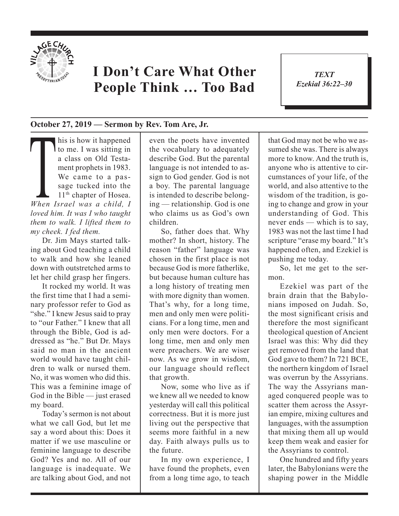

## **I Don't Care What Other People Think … Too Bad**

*TEXT Ezekial 36:22–30* 1

## **October 27, 2019 — Sermon by Rev. Tom Are, Jr.**

**This is how it happened**<br>to me. I was sitting in<br>a class on Old Testa-<br>ment prophets in 1983.<br>We came to a pas-<br>sage tucked into the<br>11<sup>th</sup> chapter of Hosea.<br>When Israel was a child, I to me. I was sitting in a class on Old Testament prophets in 1983. We came to a passage tucked into the 11<sup>th</sup> chapter of Hosea. *loved him. It was I who taught them to walk. I lifted them to my cheek. I fed them.* 

Dr. Jim Mays started talking about God teaching a child to walk and how she leaned down with outstretched arms to let her child grasp her fingers.

It rocked my world. It was the first time that I had a seminary professor refer to God as "she." I knew Jesus said to pray to "our Father." I knew that all through the Bible, God is addressed as "he." But Dr. Mays said no man in the ancient world would have taught children to walk or nursed them. No, it was women who did this. This was a feminine image of God in the Bible — just erased my board.

Today's sermon is not about what we call God, but let me say a word about this: Does it matter if we use masculine or feminine language to describe God? Yes and no. All of our language is inadequate. We are talking about God, and not even the poets have invented the vocabulary to adequately describe God. But the parental language is not intended to assign to God gender. God is not a boy. The parental language is intended to describe belonging — relationship. God is one who claims us as God's own children.

So, father does that. Why mother? In short, history. The reason "father" language was chosen in the first place is not because God is more fatherlike, but because human culture has a long history of treating men with more dignity than women. That's why, for a long time, men and only men were politicians. For a long time, men and only men were doctors. For a long time, men and only men were preachers. We are wiser now. As we grow in wisdom, our language should reflect that growth.

Now, some who live as if we knew all we needed to know yesterday will call this political correctness. But it is more just living out the perspective that seems more faithful in a new day. Faith always pulls us to the future.

In my own experience, I have found the prophets, even from a long time ago, to teach that God may not be who we assumed she was. There is always more to know. And the truth is, anyone who is attentive to circumstances of your life, of the world, and also attentive to the wisdom of the tradition, is going to change and grow in your understanding of God. This never ends — which is to say, 1983 was not the last time I had scripture "erase my board." It's happened often, and Ezekiel is pushing me today.

So, let me get to the sermon.

Ezekiel was part of the brain drain that the Babylonians imposed on Judah. So, the most significant crisis and therefore the most significant theological question of Ancient Israel was this: Why did they get removed from the land that God gave to them? In 721 BCE, the northern kingdom of Israel was overrun by the Assyrians. The way the Assyrians managed conquered people was to scatter them across the Assyrian empire, mixing cultures and languages, with the assumption that mixing them all up would keep them weak and easier for the Assyrians to control.

One hundred and fifty years later, the Babylonians were the shaping power in the Middle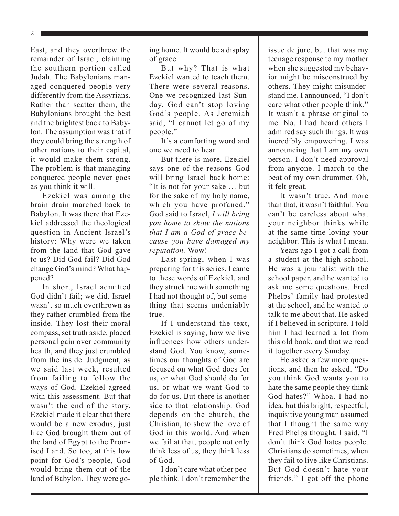East, and they overthrew the remainder of Israel, claiming the southern portion called Judah. The Babylonians managed conquered people very differently from the Assyrians. Rather than scatter them, the Babylonians brought the best and the brightest back to Babylon. The assumption was that if they could bring the strength of other nations to their capital, it would make them strong. The problem is that managing conquered people never goes as you think it will.

Ezekiel was among the brain drain marched back to Babylon. It was there that Ezekiel addressed the theological question in Ancient Israel's history: Why were we taken from the land that God gave to us? Did God fail? Did God change God's mind? What happened?

In short, Israel admitted God didn't fail; we did. Israel wasn't so much overthrown as they rather crumbled from the inside. They lost their moral compass, set truth aside, placed personal gain over community health, and they just crumbled from the inside. Judgment, as we said last week, resulted from failing to follow the ways of God. Ezekiel agreed with this assessment. But that wasn't the end of the story. Ezekiel made it clear that there would be a new exodus, just like God brought them out of the land of Egypt to the Promised Land. So too, at this low point for God's people, God would bring them out of the land of Babylon. They were going home. It would be a display of grace.

But why? That is what Ezekiel wanted to teach them. There were several reasons. One we recognized last Sunday. God can't stop loving God's people. As Jeremiah said, "I cannot let go of my people."

It's a comforting word and one we need to hear.

But there is more. Ezekiel says one of the reasons God will bring Israel back home: "It is not for your sake … but for the sake of my holy name, which you have profaned." God said to Israel, *I will bring you home to show the nations that I am a God of grace because you have damaged my reputation.* Wow!

Last spring, when I was preparing for this series, I came to these words of Ezekiel, and they struck me with something I had not thought of, but something that seems undeniably true.

If I understand the text, Ezekiel is saying, how we live influences how others understand God. You know, sometimes our thoughts of God are focused on what God does for us, or what God should do for us, or what we want God to do for us. But there is another side to that relationship. God depends on the church, the Christian, to show the love of God in this world. And when we fail at that, people not only think less of us, they think less of God.

I don't care what other people think. I don't remember the issue de jure, but that was my teenage response to my mother when she suggested my behavior might be misconstrued by others. They might misunderstand me. I announced, "I don't care what other people think." It wasn't a phrase original to me. No, I had heard others I admired say such things. It was incredibly empowering. I was announcing that I am my own person. I don't need approval from anyone. I march to the beat of my own drummer. Oh, it felt great.

It wasn't true. And more than that, it wasn't faithful. You can't be careless about what your neighbor thinks while at the same time loving your neighbor. This is what I mean.

Years ago I got a call from a student at the high school. He was a journalist with the school paper, and he wanted to ask me some questions. Fred Phelps' family had protested at the school, and he wanted to talk to me about that. He asked if I believed in scripture. I told him I had learned a lot from this old book, and that we read it together every Sunday.

He asked a few more questions, and then he asked, "Do you think God wants you to hate the same people they think God hates?" Whoa. I had no idea, but this bright, respectful, inquisitive young man assumed that I thought the same way Fred Phelps thought. I said, "I don't think God hates people. Christians do sometimes, when they fail to live like Christians. But God doesn't hate your friends." I got off the phone

2